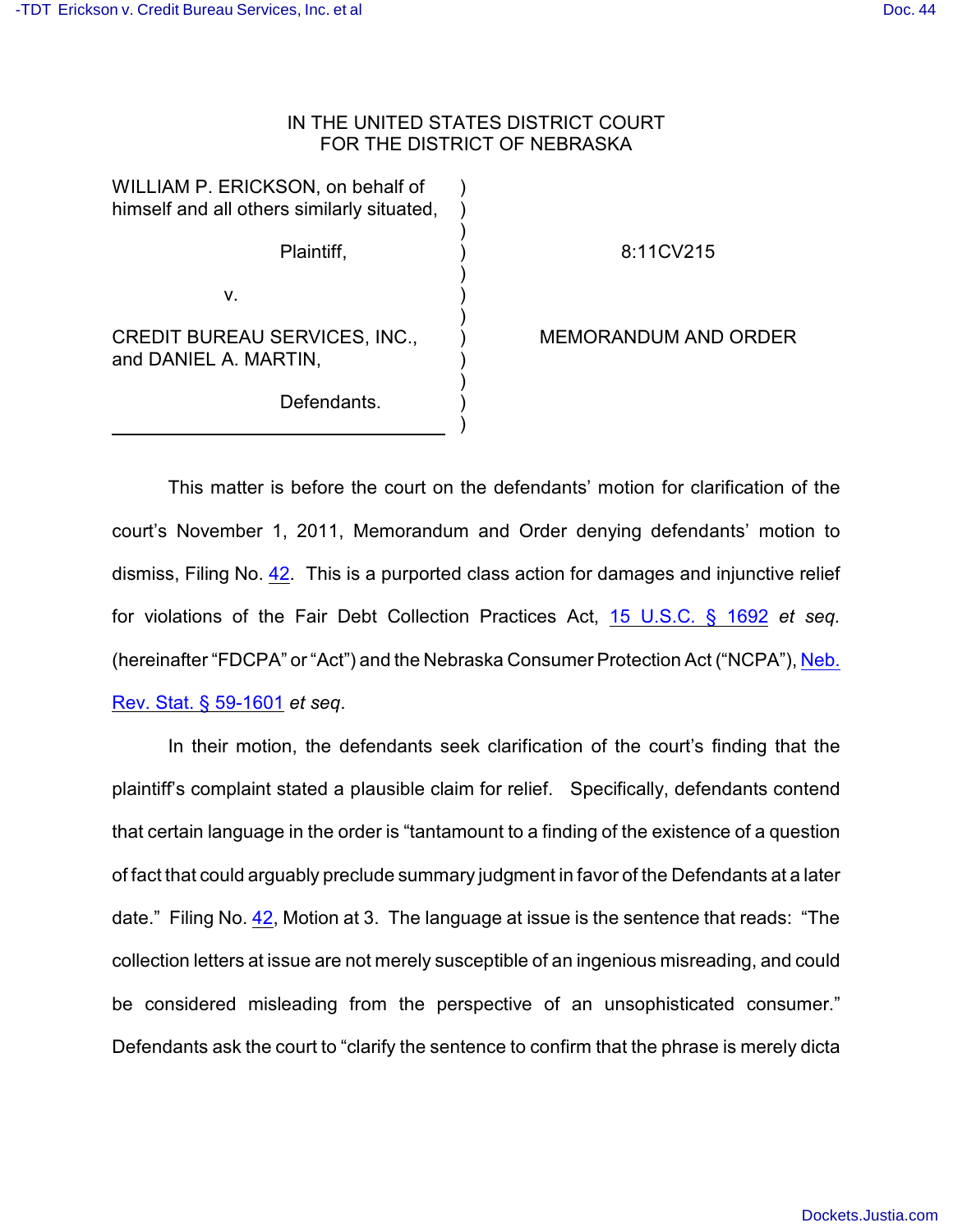## IN THE UNITED STATES DISTRICT COURT FOR THE DISTRICT OF NEBRASKA

) ) ) ) ) ) ) ) ) ) ) )

WILLIAM P. ERICKSON, on behalf of himself and all others similarly situated,

Plaintiff,

v.

CREDIT BUREAU SERVICES, INC., and DANIEL A. MARTIN,

Defendants.

8:11CV215

## MEMORANDUM AND ORDER

This matter is before the court on the defendants' motion for clarification of the court's November 1, 2011, Memorandum and Order denying defendants' motion to dismiss, Filing No. [42](http://ecf.ned.uscourts.gov/doc1/11302405926). This is a purported class action for damages and injunctive relief for violations of the Fair Debt Collection Practices Act, [15 U.S.C. § 1692](http://www.westlaw.com/find/default.wl?rs=CLWP3.0&vr=2.0&cite=15+USCA+s+1692) *et seq.* (hereinafter "FDCPA" or "Act") and the Nebraska Consumer Protection Act ("NCPA"), [Neb.](http://www.westlaw.com/find/default.wl?rs=CLWP3.0&vr=2.0&cite=NE+ST+s+59-1601) [Rev. Stat. § 59-1601](http://www.westlaw.com/find/default.wl?rs=CLWP3.0&vr=2.0&cite=NE+ST+s+59-1601) *et seq*.

In their motion, the defendants seek clarification of the court's finding that the plaintiff's complaint stated a plausible claim for relief. Specifically, defendants contend that certain language in the order is "tantamount to a finding of the existence of a question of fact that could arguably preclude summary judgment in favor of the Defendants at a later date." Filing No. [42](http://ecf.ned.uscourts.gov/doc1/11302405926), Motion at 3. The language at issue is the sentence that reads: "The collection letters at issue are not merely susceptible of an ingenious misreading, and could be considered misleading from the perspective of an unsophisticated consumer." Defendants ask the court to "clarify the sentence to confirm that the phrase is merely dicta